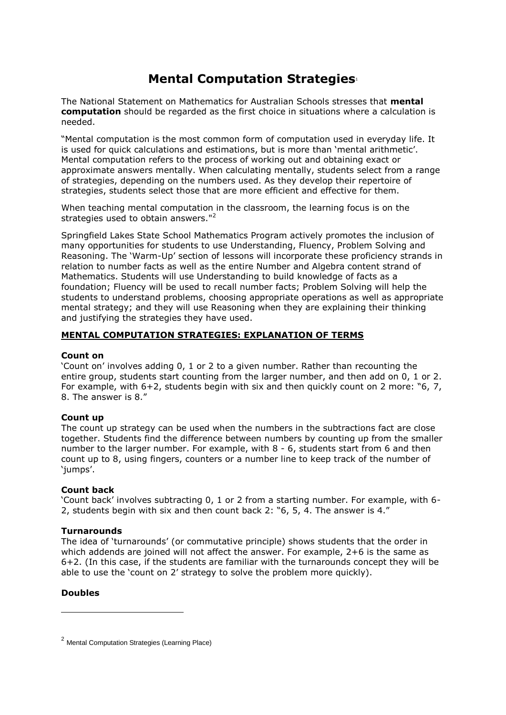# **Mental Computation Strategies**<sup>1</sup>

The National Statement on Mathematics for Australian Schools stresses that **mental computation** should be regarded as the first choice in situations where a calculation is needed.

"Mental computation is the most common form of computation used in everyday life. It is used for quick calculations and estimations, but is more than 'mental arithmetic'. Mental computation refers to the process of working out and obtaining exact or approximate answers mentally. When calculating mentally, students select from a range of strategies, depending on the numbers used. As they develop their repertoire of strategies, students select those that are more efficient and effective for them.

When teaching mental computation in the classroom, the learning focus is on the strategies used to obtain answers."<sup>2</sup>

Springfield Lakes State School Mathematics Program actively promotes the inclusion of many opportunities for students to use Understanding, Fluency, Problem Solving and Reasoning. The 'Warm-Up' section of lessons will incorporate these proficiency strands in relation to number facts as well as the entire Number and Algebra content strand of Mathematics. Students will use Understanding to build knowledge of facts as a foundation; Fluency will be used to recall number facts; Problem Solving will help the students to understand problems, choosing appropriate operations as well as appropriate mental strategy; and they will use Reasoning when they are explaining their thinking and justifying the strategies they have used.

# **MENTAL COMPUTATION STRATEGIES: EXPLANATION OF TERMS**

## **Count on**

'Count on' involves adding 0, 1 or 2 to a given number. Rather than recounting the entire group, students start counting from the larger number, and then add on 0, 1 or 2. For example, with 6+2, students begin with six and then quickly count on 2 more: "6, 7, 8. The answer is 8."

# **Count up**

The count up strategy can be used when the numbers in the subtractions fact are close together. Students find the difference between numbers by counting up from the smaller number to the larger number. For example, with 8 - 6, students start from 6 and then count up to 8, using fingers, counters or a number line to keep track of the number of 'jumps'.

# **Count back**

'Count back' involves subtracting 0, 1 or 2 from a starting number. For example, with 6- 2, students begin with six and then count back 2: "6, 5, 4. The answer is 4."

# **Turnarounds**

The idea of 'turnarounds' (or commutative principle) shows students that the order in which addends are joined will not affect the answer. For example, 2+6 is the same as 6+2. (In this case, if the students are familiar with the turnarounds concept they will be able to use the 'count on 2' strategy to solve the problem more quickly).

# **Doubles**

1

<sup>&</sup>lt;sup>2</sup> Mental Computation Strategies (Learning Place)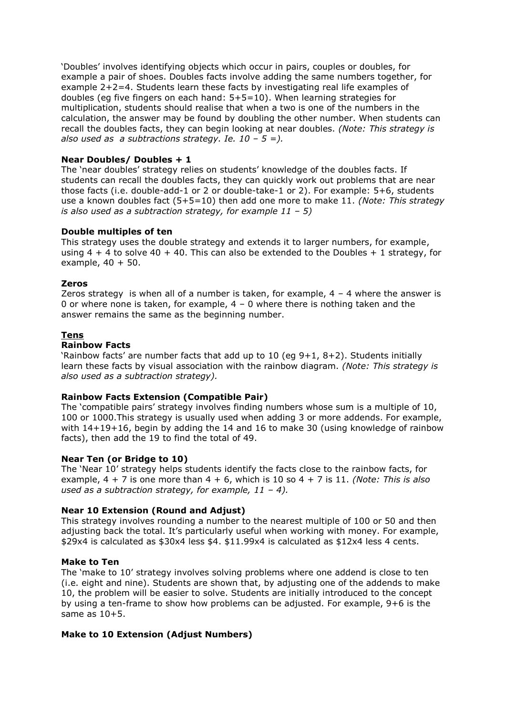'Doubles' involves identifying objects which occur in pairs, couples or doubles, for example a pair of shoes. Doubles facts involve adding the same numbers together, for example 2+2=4. Students learn these facts by investigating real life examples of doubles (eg five fingers on each hand: 5+5=10). When learning strategies for multiplication, students should realise that when a two is one of the numbers in the calculation, the answer may be found by doubling the other number. When students can recall the doubles facts, they can begin looking at near doubles. *(Note: This strategy is also used as a subtractions strategy. Ie.*  $10 - 5 =$ ).

## **Near Doubles/ Doubles + 1**

The 'near doubles' strategy relies on students' knowledge of the doubles facts. If students can recall the doubles facts, they can quickly work out problems that are near those facts (i.e. double-add-1 or 2 or double-take-1 or 2). For example: 5+6, students use a known doubles fact (5+5=10) then add one more to make 11. *(Note: This strategy is also used as a subtraction strategy, for example 11 – 5)*

## **Double multiples of ten**

This strategy uses the double strategy and extends it to larger numbers, for example, using  $4 + 4$  to solve  $40 + 40$ . This can also be extended to the Doubles  $+ 1$  strategy, for example,  $40 + 50$ .

#### **Zeros**

Zeros strategy is when all of a number is taken, for example,  $4 - 4$  where the answer is 0 or where none is taken, for example,  $4 - 0$  where there is nothing taken and the answer remains the same as the beginning number.

## **Tens**

#### **Rainbow Facts**

'Rainbow facts' are number facts that add up to 10 (eg 9+1, 8+2). Students initially learn these facts by visual association with the rainbow diagram. *(Note: This strategy is also used as a subtraction strategy).*

#### **Rainbow Facts Extension (Compatible Pair)**

The 'compatible pairs' strategy involves finding numbers whose sum is a multiple of 10, 100 or 1000.This strategy is usually used when adding 3 or more addends. For example, with 14+19+16, begin by adding the 14 and 16 to make 30 (using knowledge of rainbow facts), then add the 19 to find the total of 49.

#### **Near Ten (or Bridge to 10)**

The 'Near 10' strategy helps students identify the facts close to the rainbow facts, for example, 4 + 7 is one more than 4 + 6, which is 10 so 4 + 7 is 11. *(Note: This is also used as a subtraction strategy, for example, 11 – 4).* 

#### **Near 10 Extension (Round and Adjust)**

This strategy involves rounding a number to the nearest multiple of 100 or 50 and then adjusting back the total. It's particularly useful when working with money. For example, \$29x4 is calculated as \$30x4 less \$4. \$11.99x4 is calculated as \$12x4 less 4 cents.

#### **Make to Ten**

The 'make to 10' strategy involves solving problems where one addend is close to ten (i.e. eight and nine). Students are shown that, by adjusting one of the addends to make 10, the problem will be easier to solve. Students are initially introduced to the concept by using a ten-frame to show how problems can be adjusted. For example, 9+6 is the same as 10+5.

#### **Make to 10 Extension (Adjust Numbers)**